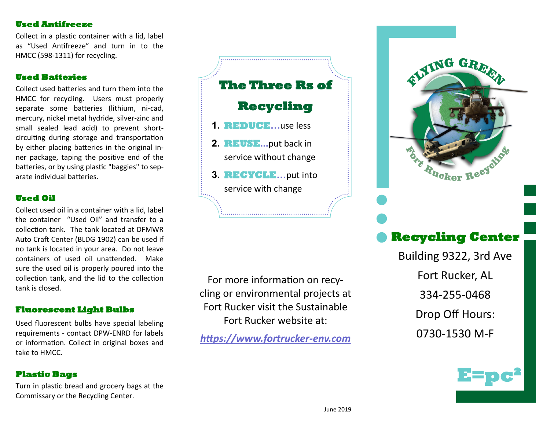# **Used Antifreeze**

Collect in a plastic container with a lid, label as "Used Antifreeze" and turn in to the HMCC (598-1311) for recycling.

# **Used Batteries**

Collect used batteries and turn them into the HMCC for recycling. Users must properly separate some batteries (lithium, ni-cad, mercury, nickel metal hydride, silver-zinc and small sealed lead acid) to prevent shortcircuiting during storage and transportation by either placing batteries in the original inner package, taping the positive end of the batteries, or by using plastic "baggies" to separate individual batteries.

#### **Used Oil**

Collect used oil in a container with a lid, label the container "Used Oil" and transfer to a collection tank. The tank located at DFMWR Auto Craft Center (BLDG 1902) can be used if no tank is located in your area. Do not leave containers of used oil unattended. Make sure the used oil is properly poured into the collection tank, and the lid to the collection tank is closed.

### **Fluorescent Light Bulbs**

Used fluorescent bulbs have special labeling requirements - contact DPW-ENRD for labels or information. Collect in original boxes and take to HMCC.

# **Plastic Bags**

Turn in plastic bread and grocery bags at the Commissary or the Recycling Center.



For more information on recycling or environmental projects at Fort Rucker visit the Sustainable Fort Rucker website at:

*https://www.fortrucker-env.com* 



# **Recycling Center**

Building 9322, 3rd Ave Fort Rucker, AL 334-255-0468 Drop Off Hours: 0730-1530 M-F